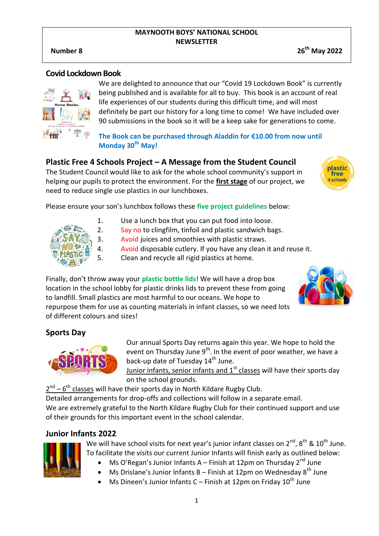#### **MAYNOOTH BOYS' NATIONAL SCHOOL NEWSLETTER**

**Number 8 26th May 2022**

#### **Covid Lockdown Book**



We are delighted to announce that our "Covid 19 Lockdown Book" is currently being published and is available for all to buy. This book is an account of real life experiences of our students during this difficult time, and will most definitely be part our history for a long time to come! We have included over 90 submissions in the book so it will be a keep sake for generations to come.

**The Book can be purchased through Aladdin for €10.00 from now until Monday 30th May!**

# **Plastic Free 4 Schools Project – A Message from the Student Council**

The Student Council would like to ask for the whole school community's support in helping our pupils to protect the environment. For the **first stage** of our project, we need to reduce single use plastics in our lunchboxes.



Please ensure your son's lunchbox follows these **five project guidelines** below:



- 1. Use a lunch box that you can put food into loose.
- 2. Say no to clingfilm, tinfoil and plastic sandwich bags.
- 3. Avoid juices and smoothies with plastic straws.
- 4. Avoid disposable cutlery. If you have any clean it and reuse it.
- 5. Clean and recycle all rigid plastics at home.

Finally, don't throw away your **plastic bottle lids**! We will have a drop box location in the school lobby for plastic drinks lids to prevent these from going to landfill. Small plastics are most harmful to our oceans. We hope to repurpose them for use as counting materials in infant classes, so we need lots of different colours and sizes!



# **Sports Day**



Our annual Sports Day returns again this year. We hope to hold the event on Thursday June 9<sup>th</sup>. In the event of poor weather, we have a back-up date of Tuesday 14<sup>th</sup> June.

Junior infants, senior infants and  $1<sup>st</sup>$  classes will have their sports day on the school grounds.

 $2^{nd}$  –  $6^{th}$  classes will have their sports day in North Kildare Rugby Club.

Detailed arrangements for drop-offs and collections will follow in a separate email.

We are extremely grateful to the North Kildare Rugby Club for their continued support and use of their grounds for this important event in the school calendar.

# **Junior Infants 2022**



We will have school visits for next year's junior infant classes on  $2^{nd}$ ,  $8^{th}$  &  $10^{th}$  June. To facilitate the visits our current Junior Infants will finish early as outlined below:

- Ms O'Regan's Junior Infants A Finish at 12pm on Thursday  $2^{nd}$  June
- Ms Drislane's Junior Infants B Finish at 12pm on Wednesday  $8^{th}$  June
- Ms Dineen's Junior Infants C Finish at 12pm on Friday  $10^{th}$  June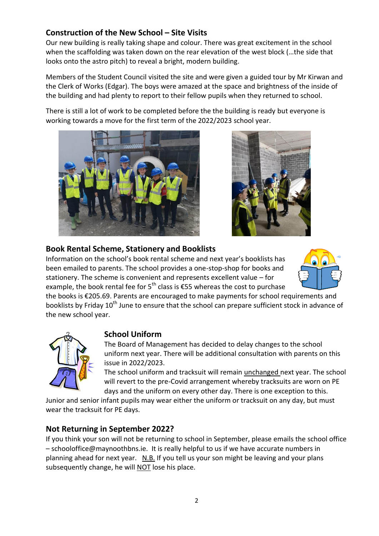# **Construction of the New School – Site Visits**

Our new building is really taking shape and colour. There was great excitement in the school when the scaffolding was taken down on the rear elevation of the west block (…the side that looks onto the astro pitch) to reveal a bright, modern building.

Members of the Student Council visited the site and were given a guided tour by Mr Kirwan and the Clerk of Works (Edgar). The boys were amazed at the space and brightness of the inside of the building and had plenty to report to their fellow pupils when they returned to school.

There is still a lot of work to be completed before the the building is ready but everyone is working towards a move for the first term of the 2022/2023 school year.





### **Book Rental Scheme, Stationery and Booklists**

Information on the school's book rental scheme and next year's booklists has been emailed to parents. The school provides a one-stop-shop for books and stationery. The scheme is convenient and represents excellent value – for example, the book rental fee for  $5^{th}$  class is  $\epsilon$ 55 whereas the cost to purchase



the books is €205.69. Parents are encouraged to make payments for school requirements and booklists by Friday 10<sup>th</sup> June to ensure that the school can prepare sufficient stock in advance of the new school year.



# **School Uniform**

The Board of Management has decided to delay changes to the school uniform next year. There will be additional consultation with parents on this issue in 2022/2023.

The school uniform and tracksuit will remain unchanged next year. The school will revert to the pre-Covid arrangement whereby tracksuits are worn on PE days and the uniform on every other day. There is one exception to this.

Junior and senior infant pupils may wear either the uniform or tracksuit on any day, but must wear the tracksuit for PE days.

#### **Not Returning in September 2022?**

If you think your son will not be returning to school in September, please emails the school office – schooloffice@maynoothbns.ie. It is really helpful to us if we have accurate numbers in planning ahead for next year. N.B. If you tell us your son might be leaving and your plans subsequently change, he will NOT lose his place.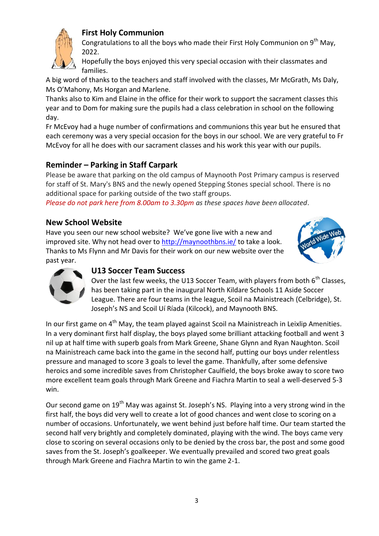# **First Holy Communion**



Congratulations to all the boys who made their First Holy Communion on  $9<sup>th</sup>$  May, 2022.

Hopefully the boys enjoyed this very special occasion with their classmates and families.

A big word of thanks to the teachers and staff involved with the classes, Mr McGrath, Ms Daly, Ms O'Mahony, Ms Horgan and Marlene.

Thanks also to Kim and Elaine in the office for their work to support the sacrament classes this year and to Dom for making sure the pupils had a class celebration in school on the following day.

Fr McEvoy had a huge number of confirmations and communions this year but he ensured that each ceremony was a very special occasion for the boys in our school. We are very grateful to Fr McEvoy for all he does with our sacrament classes and his work this year with our pupils.

# **Reminder – Parking in Staff Carpark**

Please be aware that parking on the old campus of Maynooth Post Primary campus is reserved for staff of St. Mary's BNS and the newly opened Stepping Stones special school. There is no additional space for parking outside of the two staff groups.

*Please do not park here from 8.00am to 3.30pm as these spaces have been allocated*.

# **New School Website**

Have you seen our new school website? We've gone live with a new and improved site. Why not head over to<http://maynoothbns.ie/> to take a look. Thanks to Ms Flynn and Mr Davis for their work on our new website over the past year.





#### **U13 Soccer Team Success**

Over the last few weeks, the U13 Soccer Team, with players from both  $6<sup>th</sup>$  Classes, has been taking part in the inaugural North Kildare Schools 11 Aside Soccer League. There are four teams in the league, Scoil na Mainistreach (Celbridge), St. Joseph's NS and Scoil Uí Ríada (Kilcock), and Maynooth BNS.

In our first game on  $4<sup>th</sup>$  May, the team played against Scoil na Mainistreach in Leixlip Amenities. In a very dominant first half display, the boys played some brilliant attacking football and went 3 nil up at half time with superb goals from Mark Greene, Shane Glynn and Ryan Naughton. Scoil na Mainistreach came back into the game in the second half, putting our boys under relentless pressure and managed to score 3 goals to level the game. Thankfully, after some defensive heroics and some incredible saves from Christopher Caulfield, the boys broke away to score two more excellent team goals through Mark Greene and Fiachra Martin to seal a well-deserved 5-3 win.

Our second game on 19<sup>th</sup> May was against St. Joseph's NS. Playing into a very strong wind in the first half, the boys did very well to create a lot of good chances and went close to scoring on a number of occasions. Unfortunately, we went behind just before half time. Our team started the second half very brightly and completely dominated, playing with the wind. The boys came very close to scoring on several occasions only to be denied by the cross bar, the post and some good saves from the St. Joseph's goalkeeper. We eventually prevailed and scored two great goals through Mark Greene and Fiachra Martin to win the game 2-1.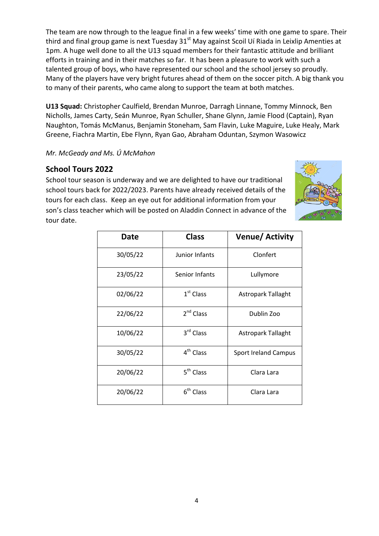The team are now through to the league final in a few weeks' time with one game to spare. Their third and final group game is next Tuesday 31<sup>st</sup> May against Scoil Uí Riada in Leixlip Amenties at 1pm. A huge well done to all the U13 squad members for their fantastic attitude and brilliant efforts in training and in their matches so far. It has been a pleasure to work with such a talented group of boys, who have represented our school and the school jersey so proudly. Many of the players have very bright futures ahead of them on the soccer pitch. A big thank you to many of their parents, who came along to support the team at both matches.

**U13 Squad:** Christopher Caulfield, Brendan Munroe, Darragh Linnane, Tommy Minnock, Ben Nicholls, James Carty, Seán Munroe, Ryan Schuller, Shane Glynn, Jamie Flood (Captain), Ryan Naughton, Tomás McManus, Benjamin Stoneham, Sam Flavin, Luke Maguire, Luke Healy, Mark Greene, Fiachra Martin, Ebe Flynn, Ryan Gao, Abraham Oduntan, Szymon Wasowicz

#### *Mr. McGeady and Ms. Ú McMahon*

### **School Tours 2022**

School tour season is underway and we are delighted to have our traditional school tours back for 2022/2023. Parents have already received details of the tours for each class. Keep an eye out for additional information from your son's class teacher which will be posted on Aladdin Connect in advance of the tour date.



| Date     | <b>Class</b>          | Venue/ Activity             |
|----------|-----------------------|-----------------------------|
| 30/05/22 | Junior Infants        | Clonfert                    |
| 23/05/22 | Senior Infants        | Lullymore                   |
| 02/06/22 | $1st$ Class           | <b>Astropark Tallaght</b>   |
| 22/06/22 | 2 <sup>nd</sup> Class | Dublin Zoo                  |
| 10/06/22 | 3rd Class             | <b>Astropark Tallaght</b>   |
| 30/05/22 | 4 <sup>th</sup> Class | <b>Sport Ireland Campus</b> |
| 20/06/22 | 5 <sup>th</sup> Class | Clara Lara                  |
| 20/06/22 | $6th$ Class           | Clara Lara                  |